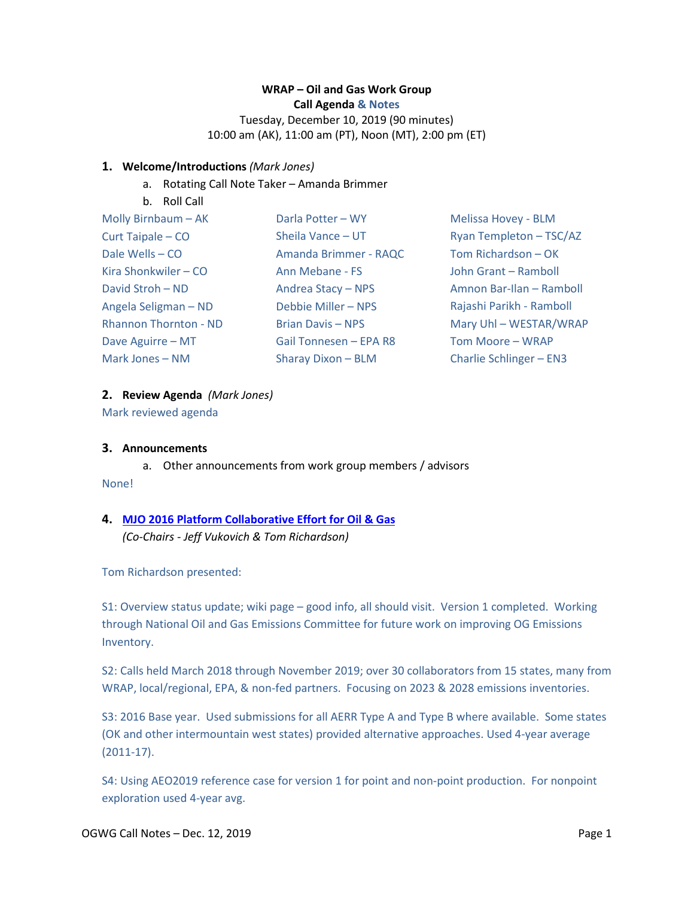## **WRAP – Oil and Gas Work Group Call Agenda & Notes**

Tuesday, December 10, 2019 (90 minutes) 10:00 am (AK), 11:00 am (PT), Noon (MT), 2:00 pm (ET)

## **1. Welcome/Introductions** *(Mark Jones)*

- a. Rotating Call Note Taker Amanda Brimmer
- b. Roll Call

| Molly Birnbaum - AK          | Darla Potter - WY        | Melissa Hovey - BLM      |
|------------------------------|--------------------------|--------------------------|
| Curt Taipale - CO            | Sheila Vance - UT        | Ryan Templeton - TSC/AZ  |
| Dale Wells - CO              | Amanda Brimmer - RAQC    | Tom Richardson - OK      |
| Kira Shonkwiler – CO         | Ann Mebane - FS          | John Grant - Ramboll     |
| David Stroh - ND             | Andrea Stacy - NPS       | Amnon Bar-Ilan - Ramboll |
| Angela Seligman - ND         | Debbie Miller - NPS      | Rajashi Parikh - Ramboll |
| <b>Rhannon Thornton - ND</b> | <b>Brian Davis - NPS</b> | Mary Uhl - WESTAR/WRAP   |
| Dave Aguirre - MT            | Gail Tonnesen - EPA R8   | Tom Moore - WRAP         |
| Mark Jones – NM              | Sharay Dixon - BLM       | Charlie Schlinger - EN3  |

## **2. Review Agenda** *(Mark Jones)*

Mark reviewed agenda

#### **3. Announcements**

a. Other announcements from work group members / advisors

None!

# **4. [MJO 2016 Platform Collaborative Effort for Oil & Gas](https://www.wrapair2.org/pdf/2019-12-10_Oil_and_Gas_EMP_Workgroup_Slides.pptx)** *(Co-Chairs - Jeff Vukovich & Tom Richardson)*

Tom Richardson presented:

S1: Overview status update; wiki page – good info, all should visit. Version 1 completed. Working through National Oil and Gas Emissions Committee for future work on improving OG Emissions Inventory.

S2: Calls held March 2018 through November 2019; over 30 collaborators from 15 states, many from WRAP, local/regional, EPA, & non-fed partners. Focusing on 2023 & 2028 emissions inventories.

S3: 2016 Base year. Used submissions for all AERR Type A and Type B where available. Some states (OK and other intermountain west states) provided alternative approaches. Used 4-year average (2011-17).

S4: Using AEO2019 reference case for version 1 for point and non-point production. For nonpoint exploration used 4-year avg.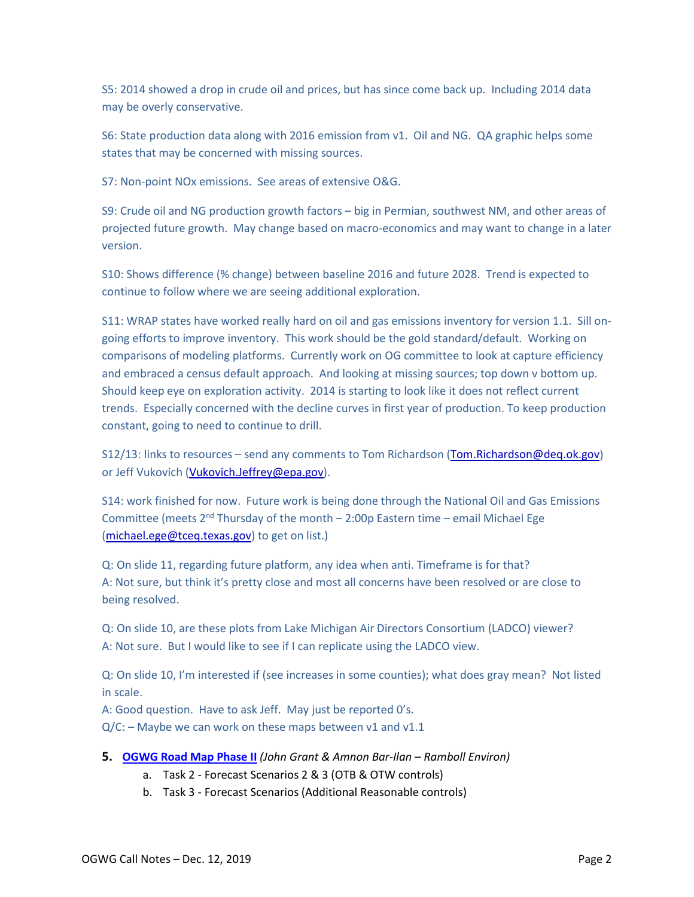S5: 2014 showed a drop in crude oil and prices, but has since come back up. Including 2014 data may be overly conservative.

S6: State production data along with 2016 emission from v1. Oil and NG. QA graphic helps some states that may be concerned with missing sources.

S7: Non-point NOx emissions. See areas of extensive O&G.

S9: Crude oil and NG production growth factors – big in Permian, southwest NM, and other areas of projected future growth. May change based on macro-economics and may want to change in a later version.

S10: Shows difference (% change) between baseline 2016 and future 2028. Trend is expected to continue to follow where we are seeing additional exploration.

S11: WRAP states have worked really hard on oil and gas emissions inventory for version 1.1. Sill ongoing efforts to improve inventory. This work should be the gold standard/default. Working on comparisons of modeling platforms. Currently work on OG committee to look at capture efficiency and embraced a census default approach. And looking at missing sources; top down v bottom up. Should keep eye on exploration activity. 2014 is starting to look like it does not reflect current trends. Especially concerned with the decline curves in first year of production. To keep production constant, going to need to continue to drill.

S12/13: links to resources - send any comments to Tom Richardson [\(Tom.Richardson@deq.ok.gov\)](mailto:Tom.Richardson@deq.ok.gov) or Jeff Vukovich [\(Vukovich.Jeffrey@epa.gov\)](mailto:Vukovich.Jeffrey@epa.gov).

S14: work finished for now. Future work is being done through the National Oil and Gas Emissions Committee (meets  $2<sup>nd</sup>$  Thursday of the month – 2:00p Eastern time – email Michael Ege [\(michael.ege@tceq.texas.gov\)](mailto:michael.ege@tceq.texas.gov) to get on list.)

Q: On slide 11, regarding future platform, any idea when anti. Timeframe is for that? A: Not sure, but think it's pretty close and most all concerns have been resolved or are close to being resolved.

Q: On slide 10, are these plots from Lake Michigan Air Directors Consortium (LADCO) viewer? A: Not sure. But I would like to see if I can replicate using the LADCO view.

Q: On slide 10, I'm interested if (see increases in some counties); what does gray mean? Not listed in scale.

A: Good question. Have to ask Jeff. May just be reported 0's.

 $Q/C$ : - Maybe we can work on these maps between v1 and v1.1

- **5. [OGWG Road Map](https://www.wrapair2.org/pdf/WRAP%20OGWG%20OGEI_status_Dec2019a.pdf) Phase II** *(John Grant & Amnon Bar-Ilan – Ramboll Environ)*
	- a. Task 2 Forecast Scenarios 2 & 3 (OTB & OTW controls)
	- b. Task 3 Forecast Scenarios (Additional Reasonable controls)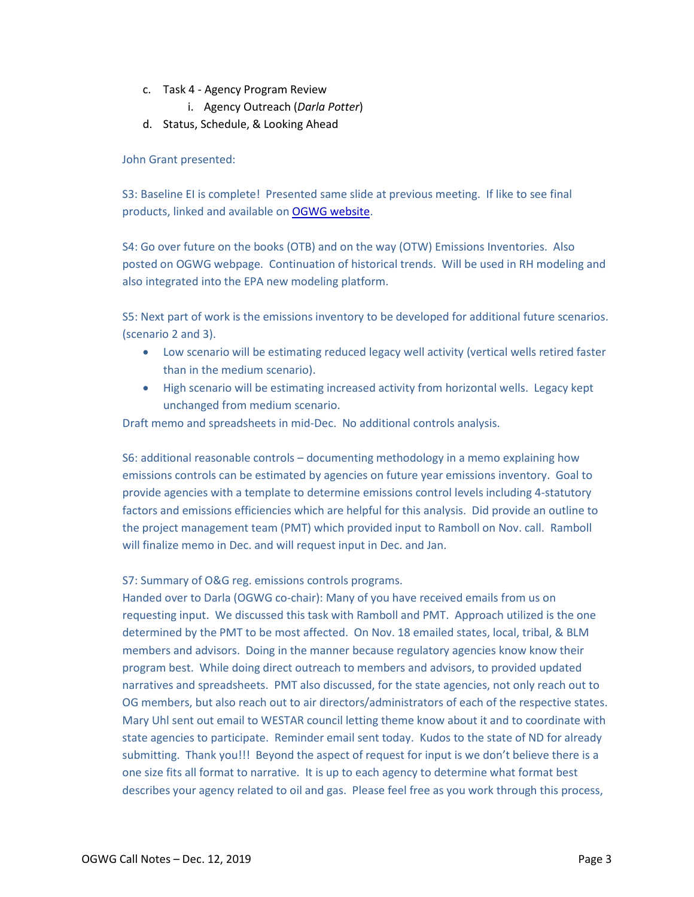- c. Task 4 Agency Program Review
	- i. Agency Outreach (*Darla Potter*)
- d. Status, Schedule, & Looking Ahead

## John Grant presented:

S3: Baseline EI is complete! Presented same slide at previous meeting. If like to see final products, linked and available on **OGWG website**.

S4: Go over future on the books (OTB) and on the way (OTW) Emissions Inventories. Also posted on OGWG webpage. Continuation of historical trends. Will be used in RH modeling and also integrated into the EPA new modeling platform.

S5: Next part of work is the emissions inventory to be developed for additional future scenarios. (scenario 2 and 3).

- Low scenario will be estimating reduced legacy well activity (vertical wells retired faster than in the medium scenario).
- High scenario will be estimating increased activity from horizontal wells. Legacy kept unchanged from medium scenario.

Draft memo and spreadsheets in mid-Dec. No additional controls analysis.

S6: additional reasonable controls – documenting methodology in a memo explaining how emissions controls can be estimated by agencies on future year emissions inventory. Goal to provide agencies with a template to determine emissions control levels including 4-statutory factors and emissions efficiencies which are helpful for this analysis. Did provide an outline to the project management team (PMT) which provided input to Ramboll on Nov. call. Ramboll will finalize memo in Dec. and will request input in Dec. and Jan.

## S7: Summary of O&G reg. emissions controls programs.

Handed over to Darla (OGWG co-chair): Many of you have received emails from us on requesting input. We discussed this task with Ramboll and PMT. Approach utilized is the one determined by the PMT to be most affected. On Nov. 18 emailed states, local, tribal, & BLM members and advisors. Doing in the manner because regulatory agencies know know their program best. While doing direct outreach to members and advisors, to provided updated narratives and spreadsheets. PMT also discussed, for the state agencies, not only reach out to OG members, but also reach out to air directors/administrators of each of the respective states. Mary Uhl sent out email to WESTAR council letting theme know about it and to coordinate with state agencies to participate. Reminder email sent today. Kudos to the state of ND for already submitting. Thank you!!! Beyond the aspect of request for input is we don't believe there is a one size fits all format to narrative. It is up to each agency to determine what format best describes your agency related to oil and gas. Please feel free as you work through this process,